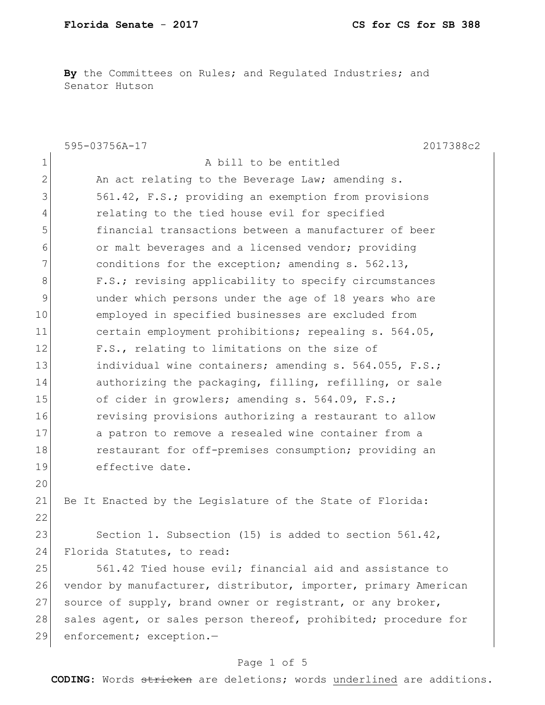**By** the Committees on Rules; and Regulated Industries; and Senator Hutson

|                | 595-03756A-17<br>2017388c2                                      |
|----------------|-----------------------------------------------------------------|
| $\mathbf 1$    | A bill to be entitled                                           |
| $\overline{2}$ | An act relating to the Beverage Law; amending s.                |
| 3              | 561.42, F.S.; providing an exemption from provisions            |
| 4              | relating to the tied house evil for specified                   |
| 5              | financial transactions between a manufacturer of beer           |
| 6              | or malt beverages and a licensed vendor; providing              |
| 7              | conditions for the exception; amending s. 562.13,               |
| 8              | F.S.; revising applicability to specify circumstances           |
| $\mathcal{G}$  | under which persons under the age of 18 years who are           |
| 10             | employed in specified businesses are excluded from              |
| 11             | certain employment prohibitions; repealing s. 564.05,           |
| 12             | F.S., relating to limitations on the size of                    |
| 13             | individual wine containers; amending s. 564.055, F.S.;          |
| 14             | authorizing the packaging, filling, refilling, or sale          |
| 15             | of cider in growlers; amending s. 564.09, F.S.;                 |
| 16             | revising provisions authorizing a restaurant to allow           |
| 17             | a patron to remove a resealed wine container from a             |
| 18             | restaurant for off-premises consumption; providing an           |
| 19             | effective date.                                                 |
| 20             |                                                                 |
| 21             | Be It Enacted by the Legislature of the State of Florida:       |
| 22             |                                                                 |
| 23             | Section 1. Subsection (15) is added to section $561.42$ ,       |
| 24             | Florida Statutes, to read:                                      |
| 25             | 561.42 Tied house evil; financial aid and assistance to         |
| 26             | vendor by manufacturer, distributor, importer, primary American |
| 27             | source of supply, brand owner or registrant, or any broker,     |
| 28             | sales agent, or sales person thereof, prohibited; procedure for |
| 29             | enforcement; exception.-                                        |

# Page 1 of 5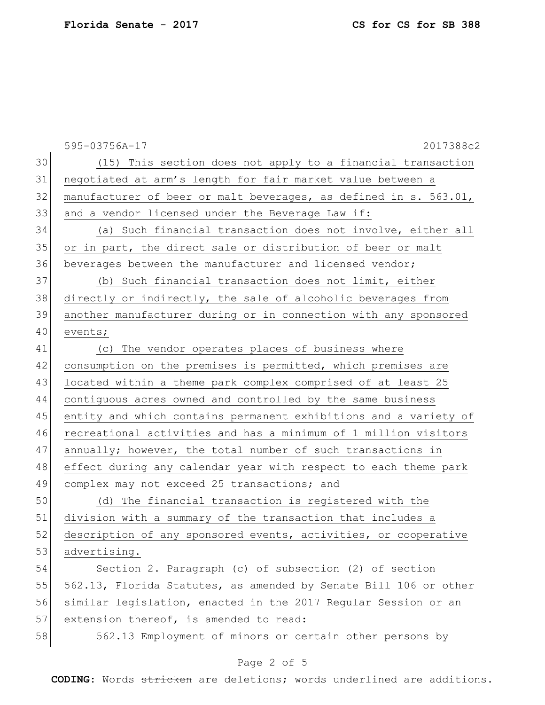|    | 595-03756A-17<br>2017388c2                                       |
|----|------------------------------------------------------------------|
| 30 | (15) This section does not apply to a financial transaction      |
| 31 | negotiated at arm's length for fair market value between a       |
| 32 | manufacturer of beer or malt beverages, as defined in s. 563.01, |
| 33 | and a vendor licensed under the Beverage Law if:                 |
| 34 | (a) Such financial transaction does not involve, either all      |
| 35 | or in part, the direct sale or distribution of beer or malt      |
| 36 | beverages between the manufacturer and licensed vendor;          |
| 37 | (b) Such financial transaction does not limit, either            |
| 38 | directly or indirectly, the sale of alcoholic beverages from     |
| 39 | another manufacturer during or in connection with any sponsored  |
| 40 | events;                                                          |
| 41 | The vendor operates places of business where<br>(C)              |
| 42 | consumption on the premises is permitted, which premises are     |
| 43 | located within a theme park complex comprised of at least 25     |
| 44 | contiquous acres owned and controlled by the same business       |
| 45 | entity and which contains permanent exhibitions and a variety of |
| 46 | recreational activities and has a minimum of 1 million visitors  |
| 47 | annually; however, the total number of such transactions in      |
| 48 | effect during any calendar year with respect to each theme park  |
| 49 | complex may not exceed 25 transactions; and                      |
| 50 | (d) The financial transaction is registered with the             |
| 51 | division with a summary of the transaction that includes a       |
| 52 | description of any sponsored events, activities, or cooperative  |
| 53 | advertising.                                                     |
| 54 | Section 2. Paragraph (c) of subsection (2) of section            |
| 55 | 562.13, Florida Statutes, as amended by Senate Bill 106 or other |
| 56 | similar legislation, enacted in the 2017 Regular Session or an   |
| 57 | extension thereof, is amended to read:                           |
| 58 | 562.13 Employment of minors or certain other persons by          |

## Page 2 of 5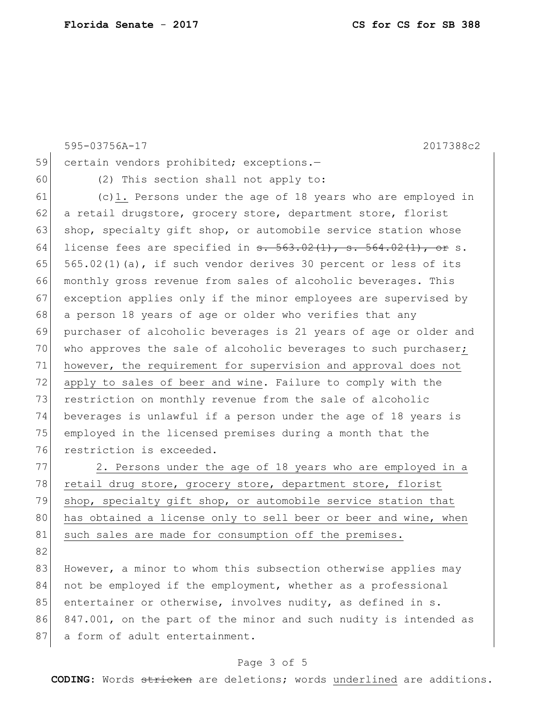|    | 595-03756A-17<br>2017388c2                                                          |
|----|-------------------------------------------------------------------------------------|
| 59 | certain vendors prohibited; exceptions.-                                            |
| 60 | (2) This section shall not apply to:                                                |
| 61 | $(c)$ 1. Persons under the age of 18 years who are employed in                      |
| 62 | a retail drugstore, grocery store, department store, florist                        |
| 63 | shop, specialty gift shop, or automobile service station whose                      |
| 64 | license fees are specified in $\frac{1}{563.02(1)}$ , $\frac{1}{564.02(1)}$ , or s. |
| 65 | 565.02(1)(a), if such vendor derives 30 percent or less of its                      |
| 66 | monthly gross revenue from sales of alcoholic beverages. This                       |
| 67 | exception applies only if the minor employees are supervised by                     |
| 68 | a person 18 years of age or older who verifies that any                             |
| 69 | purchaser of alcoholic beverages is 21 years of age or older and                    |
| 70 | who approves the sale of alcoholic beverages to such purchaser;                     |
| 71 | however, the requirement for supervision and approval does not                      |
| 72 | apply to sales of beer and wine. Failure to comply with the                         |
| 73 | restriction on monthly revenue from the sale of alcoholic                           |
| 74 | beverages is unlawful if a person under the age of 18 years is                      |
| 75 | employed in the licensed premises during a month that the                           |
| 76 | restriction is exceeded.                                                            |
| 77 | 2. Persons under the age of 18 years who are employed in a                          |
| 78 | retail drug store, grocery store, department store, florist                         |
| 79 | shop, specialty gift shop, or automobile service station that                       |
| 80 | has obtained a license only to sell beer or beer and wine, when                     |
| 81 | such sales are made for consumption off the premises.                               |
| 82 |                                                                                     |
| 83 | However, a minor to whom this subsection otherwise applies may                      |
| 84 | not be employed if the employment, whether as a professional                        |
| 85 | entertainer or otherwise, involves nudity, as defined in s.                         |
| 86 | 847.001, on the part of the minor and such nudity is intended as                    |
| 87 | a form of adult entertainment.                                                      |

## Page 3 of 5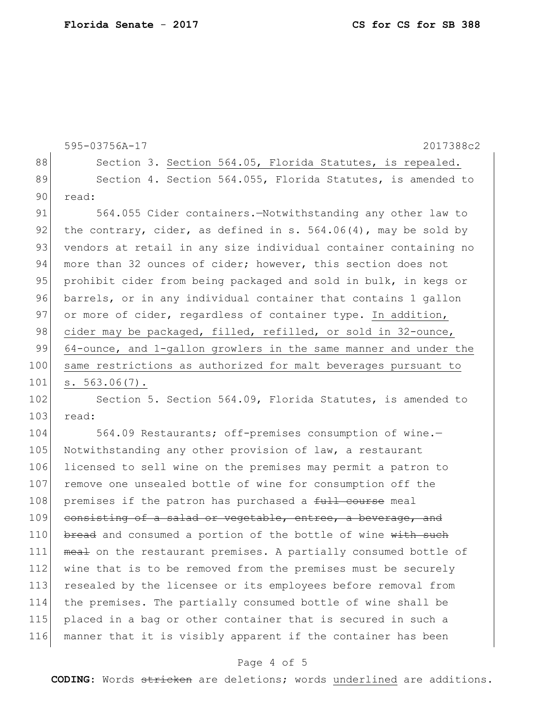```
595-03756A-17 2017388c2
88 Section 3. Section 564.05, Florida Statutes, is repealed.
89 Section 4. Section 564.055, Florida Statutes, is amended to
90 read:
91 564.055 Cider containers.—Notwithstanding any other law to 
92 the contrary, cider, as defined in s. 564.06(4), may be sold by
93 vendors at retail in any size individual container containing no
94 more than 32 ounces of cider; however, this section does not
95 prohibit cider from being packaged and sold in bulk, in kegs or
96 barrels, or in any individual container that contains 1 gallon 
97 or more of cider, regardless of container type. In addition,
98 cider may be packaged, filled, refilled, or sold in 32-ounce,
99 64-ounce, and 1-gallon growlers in the same manner and under the
100 same restrictions as authorized for malt beverages pursuant to 
101 s. 563.06(7).
102 Section 5. Section 564.09, Florida Statutes, is amended to
103 read:
```
104 564.09 Restaurants; off-premises consumption of wine.-105 Notwithstanding any other provision of law, a restaurant 106 licensed to sell wine on the premises may permit a patron to 107 remove one unsealed bottle of wine for consumption off the 108 premises if the patron has purchased a full course meal 109 consisting of a salad or vegetable, entree, a beverage, and 110 bread and consumed a portion of the bottle of wine with such 111 meal on the restaurant premises. A partially consumed bottle of 112 wine that is to be removed from the premises must be securely 113 resealed by the licensee or its employees before removal from 114 the premises. The partially consumed bottle of wine shall be 115 placed in a bag or other container that is secured in such a 116 manner that it is visibly apparent if the container has been

### Page 4 of 5